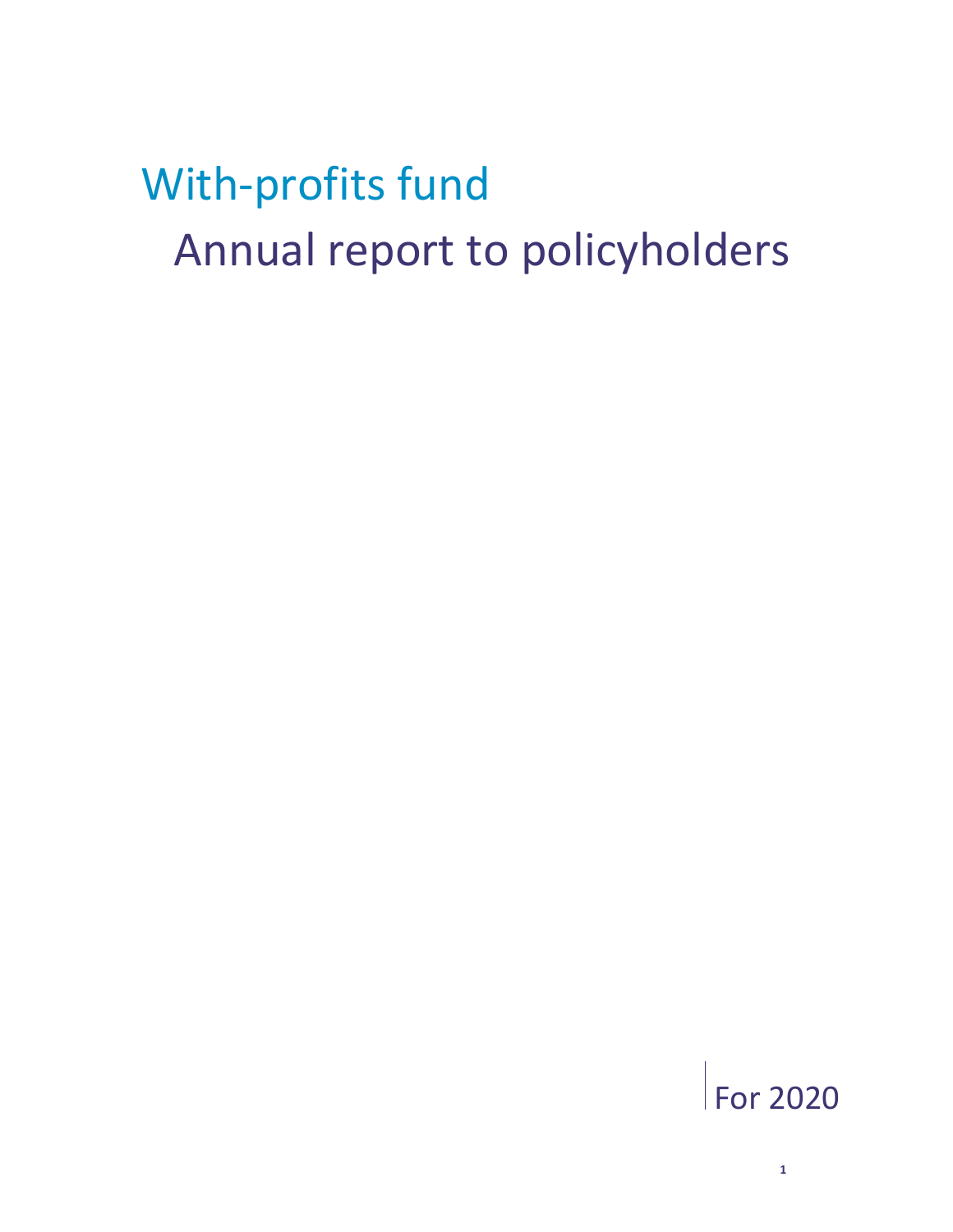# With-profits fund Annual report to policyholders

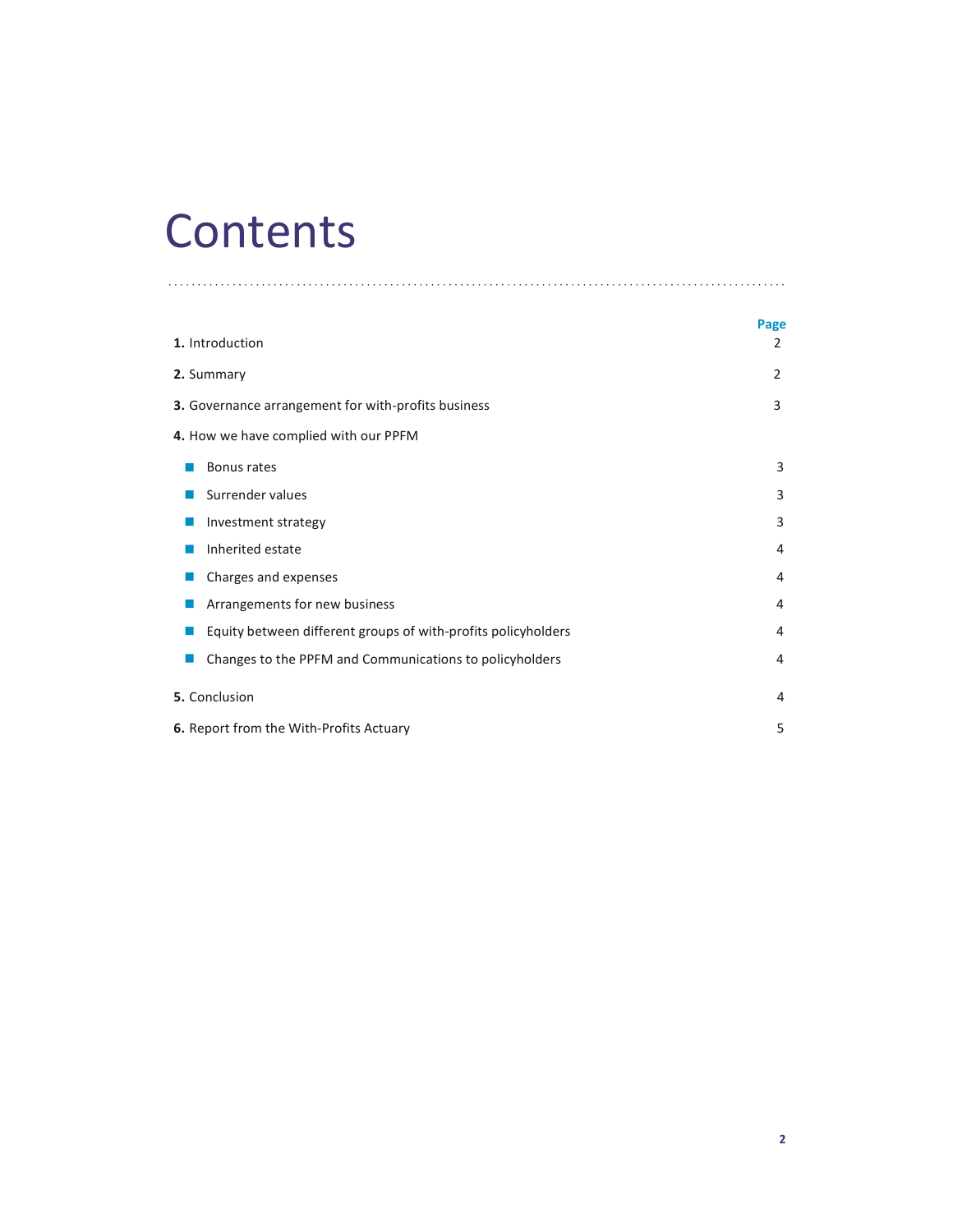## **Contents**

|                                                               | Page |
|---------------------------------------------------------------|------|
| 1. Introduction                                               | 2    |
| 2. Summary                                                    | 2    |
| 3. Governance arrangement for with-profits business           | 3    |
| 4. How we have complied with our PPFM                         |      |
| Bonus rates                                                   | 3    |
| Surrender values                                              | 3    |
| Investment strategy                                           | 3    |
| Inherited estate                                              | 4    |
| Charges and expenses                                          | 4    |
| Arrangements for new business                                 | 4    |
| Equity between different groups of with-profits policyholders | 4    |
| Changes to the PPFM and Communications to policyholders       | 4    |
| 5. Conclusion                                                 | 4    |
| 6. Report from the With-Profits Actuary                       | 5    |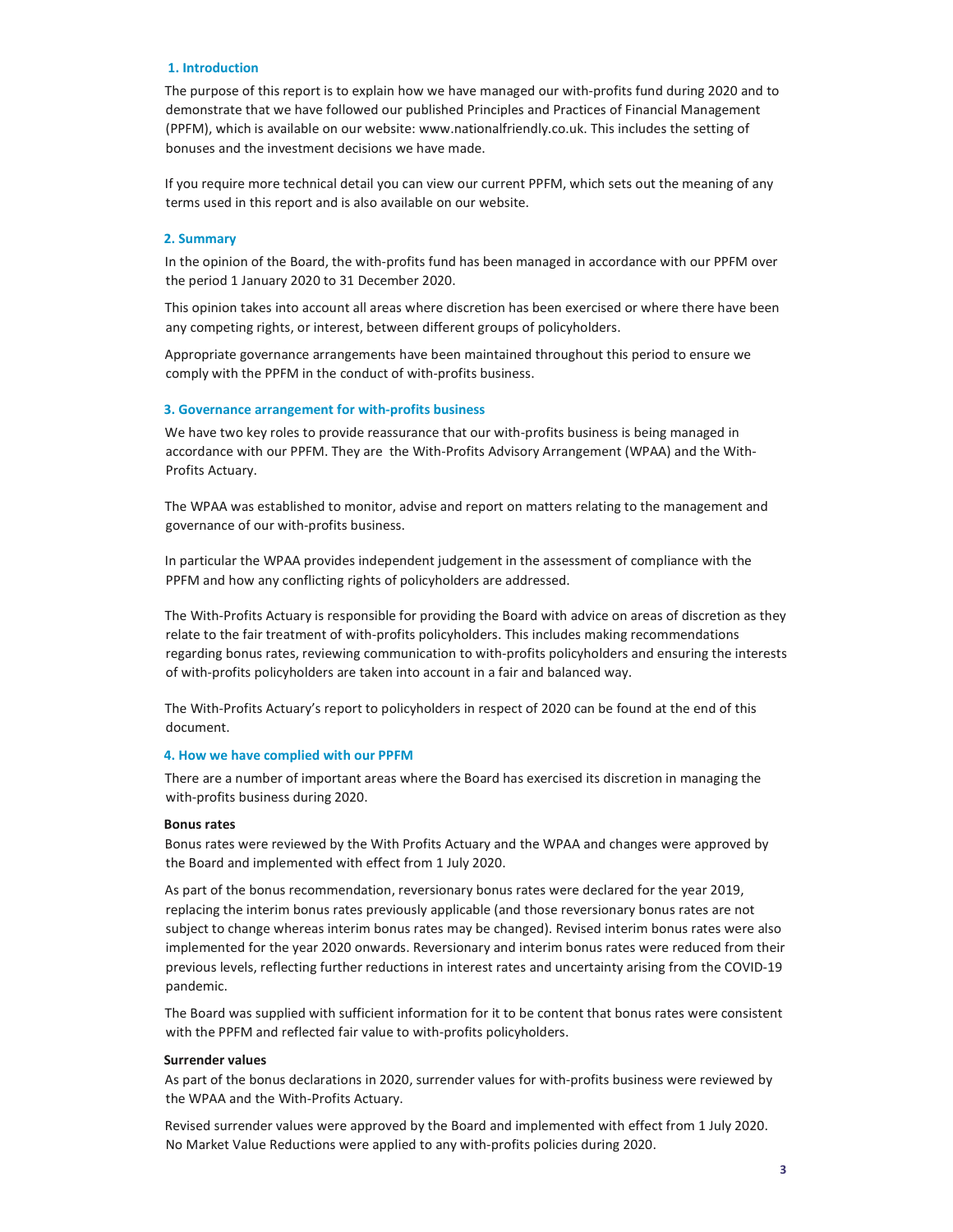#### 1. Introduction

The purpose of this report is to explain how we have managed our with-profits fund during 2020 and to demonstrate that we have followed our published Principles and Practices of Financial Management (PPFM), which is available on our website: www.nationalfriendly.co.uk. This includes the setting of bonuses and the investment decisions we have made.

If you require more technical detail you can view our current PPFM, which sets out the meaning of any terms used in this report and is also available on our website.

#### 2. Summary

In the opinion of the Board, the with-profits fund has been managed in accordance with our PPFM over the period 1 January 2020 to 31 December 2020.

This opinion takes into account all areas where discretion has been exercised or where there have been any competing rights, or interest, between different groups of policyholders.

Appropriate governance arrangements have been maintained throughout this period to ensure we comply with the PPFM in the conduct of with-profits business.

#### 3. Governance arrangement for with-profits business

We have two key roles to provide reassurance that our with-profits business is being managed in accordance with our PPFM. They are the With-Profits Advisory Arrangement (WPAA) and the With-Profits Actuary.

The WPAA was established to monitor, advise and report on matters relating to the management and governance of our with-profits business.

In particular the WPAA provides independent judgement in the assessment of compliance with the PPFM and how any conflicting rights of policyholders are addressed.

The With-Profits Actuary is responsible for providing the Board with advice on areas of discretion as they relate to the fair treatment of with-profits policyholders. This includes making recommendations regarding bonus rates, reviewing communication to with-profits policyholders and ensuring the interests of with-profits policyholders are taken into account in a fair and balanced way.

The With-Profits Actuary's report to policyholders in respect of 2020 can be found at the end of this document.

#### 4. How we have complied with our PPFM

There are a number of important areas where the Board has exercised its discretion in managing the with-profits business during 2020.

#### Bonus rates

Bonus rates were reviewed by the With Profits Actuary and the WPAA and changes were approved by the Board and implemented with effect from 1 July 2020.

As part of the bonus recommendation, reversionary bonus rates were declared for the year 2019, replacing the interim bonus rates previously applicable (and those reversionary bonus rates are not subject to change whereas interim bonus rates may be changed). Revised interim bonus rates were also implemented for the year 2020 onwards. Reversionary and interim bonus rates were reduced from their previous levels, reflecting further reductions in interest rates and uncertainty arising from the COVID-19 pandemic.

The Board was supplied with sufficient information for it to be content that bonus rates were consistent with the PPFM and reflected fair value to with-profits policyholders.

#### Surrender values

As part of the bonus declarations in 2020, surrender values for with-profits business were reviewed by the WPAA and the With-Profits Actuary.

Revised surrender values were approved by the Board and implemented with effect from 1 July 2020. No Market Value Reductions were applied to any with-profits policies during 2020.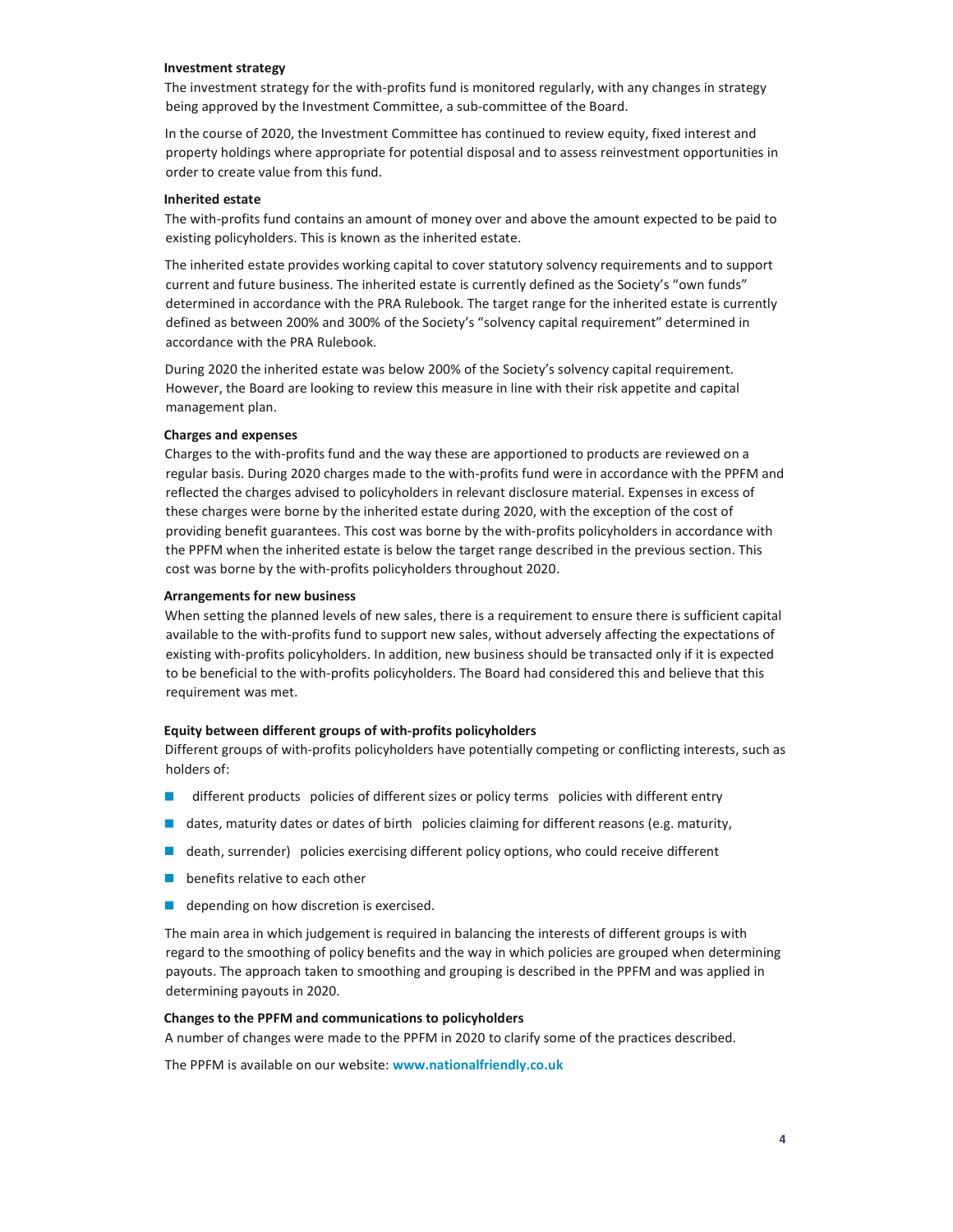#### Investment strategy

The investment strategy for the with-profits fund is monitored regularly, with any changes in strategy being approved by the Investment Committee, a sub-committee of the Board.

In the course of 2020, the Investment Committee has continued to review equity, fixed interest and property holdings where appropriate for potential disposal and to assess reinvestment opportunities in order to create value from this fund.

#### Inherited estate

The with-profits fund contains an amount of money over and above the amount expected to be paid to existing policyholders. This is known as the inherited estate.

The inherited estate provides working capital to cover statutory solvency requirements and to support current and future business. The inherited estate is currently defined as the Society's "own funds" determined in accordance with the PRA Rulebook. The target range for the inherited estate is currently defined as between 200% and 300% of the Society's "solvency capital requirement" determined in accordance with the PRA Rulebook.

During 2020 the inherited estate was below 200% of the Society's solvency capital requirement. However, the Board are looking to review this measure in line with their risk appetite and capital management plan.

#### Charges and expenses

Charges to the with-profits fund and the way these are apportioned to products are reviewed on a regular basis. During 2020 charges made to the with-profits fund were in accordance with the PPFM and reflected the charges advised to policyholders in relevant disclosure material. Expenses in excess of these charges were borne by the inherited estate during 2020, with the exception of the cost of providing benefit guarantees. This cost was borne by the with-profits policyholders in accordance with the PPFM when the inherited estate is below the target range described in the previous section. This cost was borne by the with-profits policyholders throughout 2020.

#### Arrangements for new business

When setting the planned levels of new sales, there is a requirement to ensure there is sufficient capital available to the with-profits fund to support new sales, without adversely affecting the expectations of existing with-profits policyholders. In addition, new business should be transacted only if it is expected to be beneficial to the with-profits policyholders. The Board had considered this and believe that this requirement was met.

#### Equity between different groups of with-profits policyholders

Different groups of with-profits policyholders have potentially competing or conflicting interests, such as holders of:

- **different products** policies of different sizes or policy terms policies with different entry
- $\blacksquare$  dates, maturity dates or dates of birth policies claiming for different reasons (e.g. maturity,
- **d** death, surrender) policies exercising different policy options, who could receive different
- **benefits relative to each other**
- **depending on how discretion is exercised.**

The main area in which judgement is required in balancing the interests of different groups is with regard to the smoothing of policy benefits and the way in which policies are grouped when determining payouts. The approach taken to smoothing and grouping is described in the PPFM and was applied in determining payouts in 2020.

#### Changes to the PPFM and communications to policyholders

A number of changes were made to the PPFM in 2020 to clarify some of the practices described.

The PPFM is available on our website: www.nationalfriendly.co.uk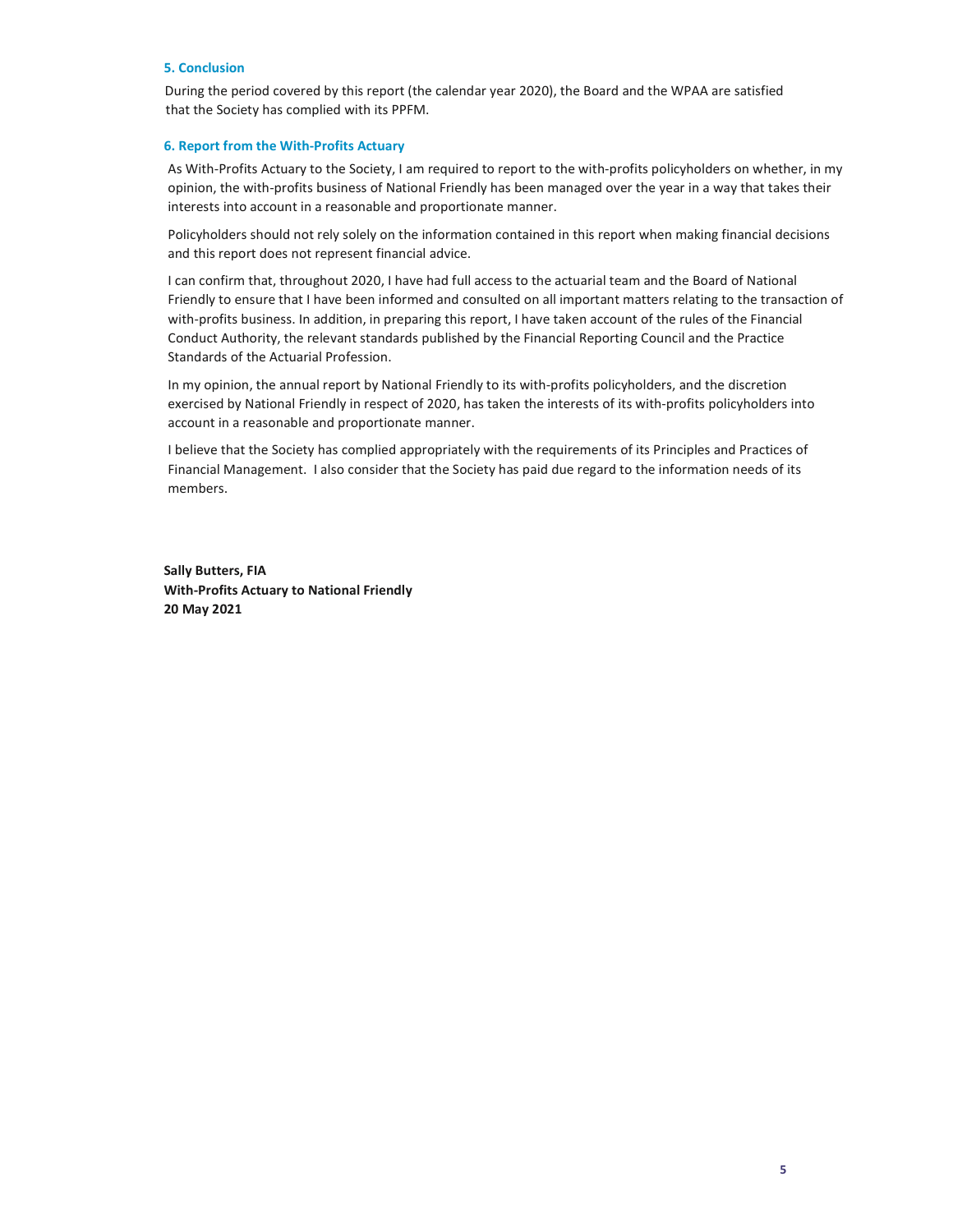#### 5. Conclusion

During the period covered by this report (the calendar year 2020), the Board and the WPAA are satisfied that the Society has complied with its PPFM.

#### 6. Report from the With-Profits Actuary

As With-Profits Actuary to the Society, I am required to report to the with-profits policyholders on whether, in my opinion, the with-profits business of National Friendly has been managed over the year in a way that takes their interests into account in a reasonable and proportionate manner.

Policyholders should not rely solely on the information contained in this report when making financial decisions and this report does not represent financial advice.

I can confirm that, throughout 2020, I have had full access to the actuarial team and the Board of National Friendly to ensure that I have been informed and consulted on all important matters relating to the transaction of with-profits business. In addition, in preparing this report, I have taken account of the rules of the Financial Conduct Authority, the relevant standards published by the Financial Reporting Council and the Practice Standards of the Actuarial Profession.

In my opinion, the annual report by National Friendly to its with-profits policyholders, and the discretion exercised by National Friendly in respect of 2020, has taken the interests of its with-profits policyholders into account in a reasonable and proportionate manner.

I believe that the Society has complied appropriately with the requirements of its Principles and Practices of Financial Management. I also consider that the Society has paid due regard to the information needs of its members.

Sally Butters, FIA With-Profits Actuary to National Friendly 20 May 2021